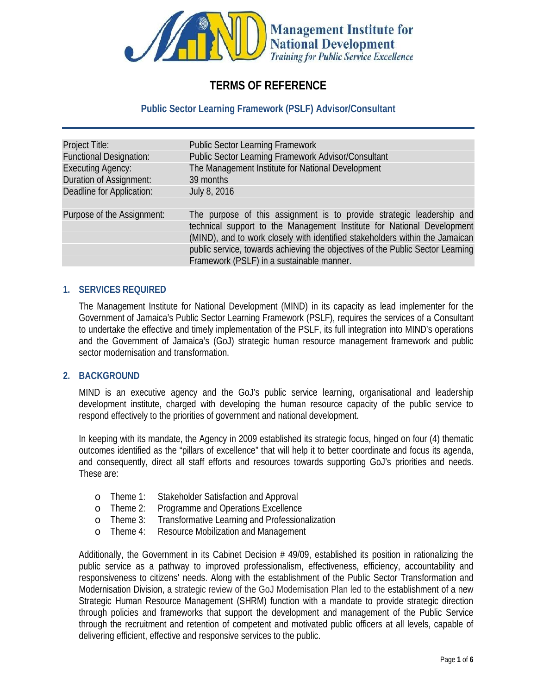

# **TERMS OF REFERENCE**

#### **Public Sector Learning Framework (PSLF) Advisor/Consultant**

| Project Title:                                             | <b>Public Sector Learning Framework</b>                                                                                                                |
|------------------------------------------------------------|--------------------------------------------------------------------------------------------------------------------------------------------------------|
| <b>Functional Designation:</b><br><b>Executing Agency:</b> | Public Sector Learning Framework Advisor/Consultant<br>The Management Institute for National Development                                               |
| <b>Duration of Assignment:</b>                             | 39 months                                                                                                                                              |
| <b>Deadline for Application:</b>                           | <b>July 8, 2016</b>                                                                                                                                    |
| Purpose of the Assignment:                                 | The purpose of this assignment is to provide strategic leadership and                                                                                  |
|                                                            | technical support to the Management Institute for National Development<br>(MIND), and to work closely with identified stakeholders within the Jamaican |
|                                                            | public service, towards achieving the objectives of the Public Sector Learning                                                                         |
|                                                            | Framework (PSLF) in a sustainable manner.                                                                                                              |

#### **1. SERVICES REQUIRED**

The Management Institute for National Development (MIND) in its capacity as lead implementer for the Government of Jamaica's Public Sector Learning Framework (PSLF), requires the services of a Consultant to undertake the effective and timely implementation of the PSLF, its full integration into MIND's operations and the Government of Jamaica's (GoJ) strategic human resource management framework and public sector modernisation and transformation.

#### **2. BACKGROUND**

MIND is an executive agency and the GoJ's public service learning, organisational and leadership development institute, charged with developing the human resource capacity of the public service to respond effectively to the priorities of government and national development.

In keeping with its mandate, the Agency in 2009 established its strategic focus, hinged on four (4) thematic outcomes identified as the "pillars of excellence" that will help it to better coordinate and focus its agenda, and consequently, direct all staff efforts and resources towards supporting GoJ's priorities and needs. These are:

- o Theme 1: Stakeholder Satisfaction and Approval
- o Theme 2: Programme and Operations Excellence
- o Theme 3: Transformative Learning and Professionalization
- o Theme 4: Resource Mobilization and Management

Additionally, the Government in its Cabinet Decision # 49/09, established its position in rationalizing the public service as a pathway to improved professionalism, effectiveness, efficiency, accountability and responsiveness to citizens' needs. Along with the establishment of the Public Sector Transformation and Modernisation Division, a strategic review of the GoJ Modernisation Plan led to the establishment of a new Strategic Human Resource Management (SHRM) function with a mandate to provide strategic direction through policies and frameworks that support the development and management of the Public Service through the recruitment and retention of competent and motivated public officers at all levels, capable of delivering efficient, effective and responsive services to the public.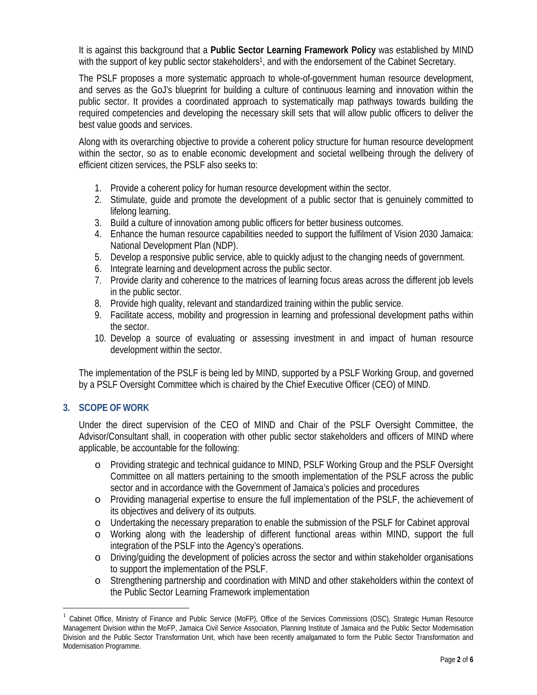It is against this background that a **Public Sector Learning Framework Policy** was established by MIND with the support of key public sector stakeholders<sup>1</sup>, and with the endorsement of the Cabinet Secretary.

The PSLF proposes a more systematic approach to whole-of-government human resource development, and serves as the GoJ's blueprint for building a culture of continuous learning and innovation within the public sector. It provides a coordinated approach to systematically map pathways towards building the required competencies and developing the necessary skill sets that will allow public officers to deliver the best value goods and services.

Along with its overarching objective to provide a coherent policy structure for human resource development within the sector, so as to enable economic development and societal wellbeing through the delivery of efficient citizen services, the PSLF also seeks to:

- 1. Provide a coherent policy for human resource development within the sector.
- 2. Stimulate, guide and promote the development of a public sector that is genuinely committed to lifelong learning.
- 3. Build a culture of innovation among public officers for better business outcomes.
- 4. Enhance the human resource capabilities needed to support the fulfilment of Vision 2030 Jamaica: National Development Plan (NDP).
- 5. Develop a responsive public service, able to quickly adjust to the changing needs of government.
- 6. Integrate learning and development across the public sector.
- 7. Provide clarity and coherence to the matrices of learning focus areas across the different job levels in the public sector.
- 8. Provide high quality, relevant and standardized training within the public service.
- 9. Facilitate access, mobility and progression in learning and professional development paths within the sector.
- 10. Develop a source of evaluating or assessing investment in and impact of human resource development within the sector.

The implementation of the PSLF is being led by MIND, supported by a PSLF Working Group, and governed by a PSLF Oversight Committee which is chaired by the Chief Executive Officer (CEO) of MIND.

### **3. SCOPE OF WORK**

Under the direct supervision of the CEO of MIND and Chair of the PSLF Oversight Committee, the Advisor/Consultant shall, in cooperation with other public sector stakeholders and officers of MIND where applicable, be accountable for the following:

- o Providing strategic and technical guidance to MIND, PSLF Working Group and the PSLF Oversight Committee on all matters pertaining to the smooth implementation of the PSLF across the public sector and in accordance with the Government of Jamaica's policies and procedures
- o Providing managerial expertise to ensure the full implementation of the PSLF, the achievement of its objectives and delivery of its outputs.
- o Undertaking the necessary preparation to enable the submission of the PSLF for Cabinet approval
- o Working along with the leadership of different functional areas within MIND, support the full integration of the PSLF into the Agency's operations.
- o Driving/guiding the development of policies across the sector and within stakeholder organisations to support the implementation of the PSLF.
- o Strengthening partnership and coordination with MIND and other stakeholders within the context of the Public Sector Learning Framework implementation

<sup>1</sup> Cabinet Office, Ministry of Finance and Public Service (MoFP), Office of the Services Commissions (OSC), Strategic Human Resource Management Division within the MoFP, Jamaica Civil Service Association, Planning Institute of Jamaica and the Public Sector Modernisation Division and the Public Sector Transformation Unit, which have been recently amalgamated to form the Public Sector Transformation and Modernisation Programme.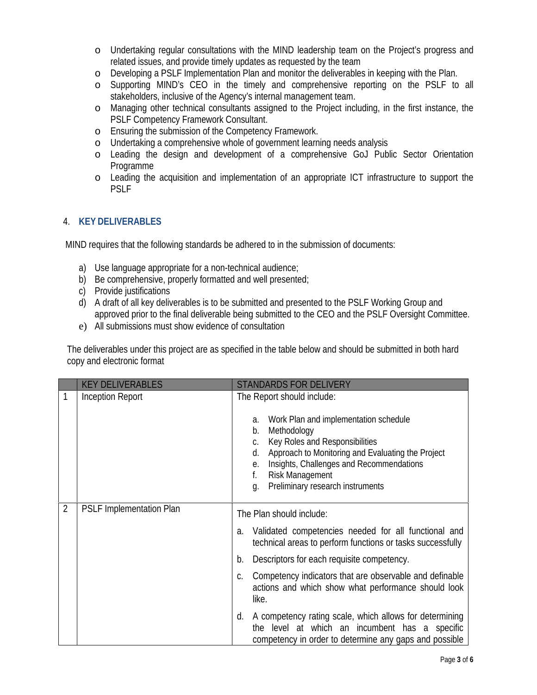- o Undertaking regular consultations with the MIND leadership team on the Project's progress and related issues, and provide timely updates as requested by the team
- o Developing a PSLF Implementation Plan and monitor the deliverables in keeping with the Plan.
- o Supporting MIND's CEO in the timely and comprehensive reporting on the PSLF to all stakeholders, inclusive of the Agency's internal management team.
- o Managing other technical consultants assigned to the Project including, in the first instance, the PSLF Competency Framework Consultant.
- o Ensuring the submission of the Competency Framework.
- o Undertaking a comprehensive whole of government learning needs analysis
- o Leading the design and development of a comprehensive GoJ Public Sector Orientation Programme
- o Leading the acquisition and implementation of an appropriate ICT infrastructure to support the PSLF

### 4. **KEY DELIVERABLES**

MIND requires that the following standards be adhered to in the submission of documents:

- a) Use language appropriate for a non-technical audience;
- b) Be comprehensive, properly formatted and well presented;
- c) Provide justifications
- d) A draft of all key deliverables is to be submitted and presented to the PSLF Working Group and approved prior to the final deliverable being submitted to the CEO and the PSLF Oversight Committee.
- e) All submissions must show evidence of consultation

The deliverables under this project are as specified in the table below and should be submitted in both hard copy and electronic format

|   | <b>KEY DELIVERABLES</b>         | STANDARDS FOR DELIVERY                                                                                                                                                                                                                                                                       |
|---|---------------------------------|----------------------------------------------------------------------------------------------------------------------------------------------------------------------------------------------------------------------------------------------------------------------------------------------|
|   | <b>Inception Report</b>         | The Report should indude:                                                                                                                                                                                                                                                                    |
|   |                                 | Work Plan and implementation schedule<br>a.<br>Methodology<br>b.<br>Key Roles and Responsibilities<br>C.<br>d. Approach to Monitoring and Evaluating the Project<br>Insights, Challenges and Recommendations<br>е.<br><b>Risk Management</b><br>f.<br>Preliminary research instruments<br>a. |
| 2 | <b>PSLF Implementation Plan</b> | The Plan should indude:                                                                                                                                                                                                                                                                      |
|   |                                 | Validated competencies needed for all functional and<br>a.<br>technical areas to perform functions or tasks successfully                                                                                                                                                                     |
|   |                                 | Descriptors for each requisite competency.<br>b.                                                                                                                                                                                                                                             |
|   |                                 | Competency indicators that are observable and definable<br>C.<br>actions and which show what performance should look<br>like.                                                                                                                                                                |
|   |                                 | A competency rating scale, which allows for determining<br>d.<br>the level at which an incumbent has a specific<br>competency in order to determine any gaps and possible                                                                                                                    |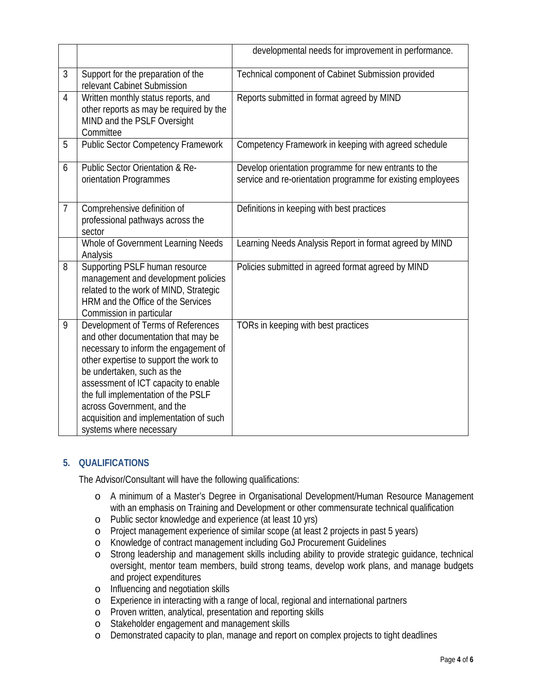|                |                                                                                                                                                                                                                                                                                                                                                                              | developmental needs for improvement in performance.                                                                  |
|----------------|------------------------------------------------------------------------------------------------------------------------------------------------------------------------------------------------------------------------------------------------------------------------------------------------------------------------------------------------------------------------------|----------------------------------------------------------------------------------------------------------------------|
| 3              | Support for the preparation of the<br>relevant Cabinet Submission                                                                                                                                                                                                                                                                                                            | Technical component of Cabinet Submission provided                                                                   |
| 4              | Written monthly status reports, and<br>other reports as may be required by the<br>MIND and the PSLF Oversight<br>Committee                                                                                                                                                                                                                                                   | Reports submitted in format agreed by MIND                                                                           |
| 5              | <b>Public Sector Competency Framework</b>                                                                                                                                                                                                                                                                                                                                    | Competency Framework in keeping with agreed schedule                                                                 |
| 6              | <b>Public Sector Orientation &amp; Re-</b><br>orientation Programmes                                                                                                                                                                                                                                                                                                         | Develop orientation programme for new entrants to the<br>service and re-orientation programme for existing employees |
| $\overline{7}$ | Comprehensive definition of<br>professional pathways across the<br>sector                                                                                                                                                                                                                                                                                                    | Definitions in keeping with best practices                                                                           |
|                | <b>Whole of Government Learning Needs</b><br>Analysis                                                                                                                                                                                                                                                                                                                        | Learning Needs Analysis Report in format agreed by MIND                                                              |
| 8              | Supporting PSLF human resource<br>management and development policies<br>related to the work of MIND, Strategic<br><b>HRM</b> and the Office of the Services<br>Commission in particular                                                                                                                                                                                     | Policies submitted in agreed format agreed by MIND                                                                   |
| 9              | Development of Terms of References<br>and other documentation that may be<br>necessary to inform the engagement of<br>other expertise to support the work to<br>be undertaken, such as the<br>assessment of ICT capacity to enable<br>the full implementation of the PSLF<br>across Government, and the<br>acquisition and implementation of such<br>systems where necessary | TORs in keeping with best practices                                                                                  |

### **5. QUALIFICATIONS**

The Advisor/Consultant will have the following qualifications:

- o A minimum of a Master's Degree in Organisational Development/Human Resource Management with an emphasis on Training and Development or other commensurate technical qualification
- o Public sector knowledge and experience (at least 10 yrs)
- o Project management experience of similar scope (at least 2 projects in past 5 years)
- o Knowledge of contract management including GoJ Procurement Guidelines
- o Strong leadership and management skills including ability to provide strategic guidance, technical oversight, mentor team members, build strong teams, develop work plans, and manage budgets and project expenditures
- o Influencing and negotiation skills
- o Experience in interacting with a range of local, regional and international partners
- o Proven written, analytical, presentation and reporting skills
- o Stakeholder engagement and management skills
- o Demonstrated capacity to plan, manage and report on complex projects to tight deadlines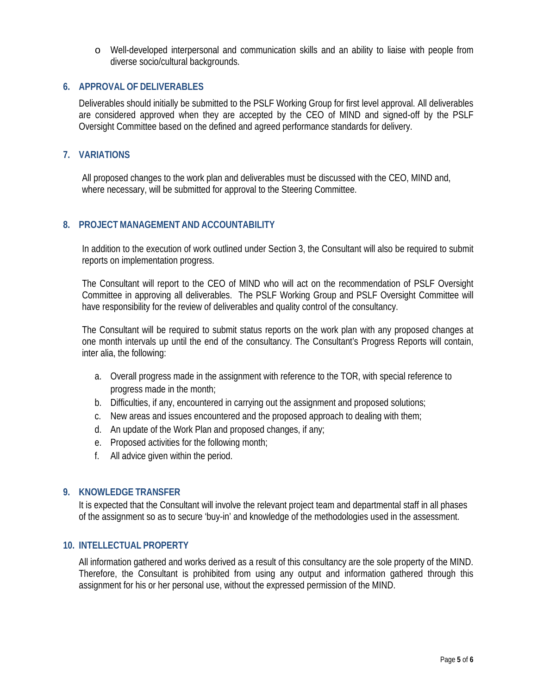o Well-developed interpersonal and communication skills and an ability to liaise with people from diverse socio/cultural backgrounds.

#### **6. APPROVAL OF DELIVERABLES**

Deliverables should initially be submitted to the PSLF Working Group for first level approval. All deliverables are considered approved when they are accepted by the CEO of MIND and signed-off by the PSLF Oversight Committee based on the defined and agreed performance standards for delivery.

#### **7. VARIATIONS**

All proposed changes to the work plan and deliverables must be discussed with the CEO, MIND and, where necessary, will be submitted for approval to the Steering Committee.

#### **8. PROJECT MANAGEMENT AND ACCOUNTABILITY**

In addition to the execution of work outlined under Section 3, the Consultant will also be required to submit reports on implementation progress.

The Consultant will report to the CEO of MIND who will act on the recommendation of PSLF Oversight Committee in approving all deliverables. The PSLF Working Group and PSLF Oversight Committee will have responsibility for the review of deliverables and quality control of the consultancy.

The Consultant will be required to submit status reports on the work plan with any proposed changes at one month intervals up until the end of the consultancy. The Consultant's Progress Reports will contain, inter alia, the following:

- a. Overall progress made in the assignment with reference to the TOR, with special reference to progress made in the month;
- b. Difficulties, if any, encountered in carrying out the assignment and proposed solutions;
- c. New areas and issues encountered and the proposed approach to dealing with them;
- d. An update of the Work Plan and proposed changes, if any;
- e. Proposed activities for the following month;
- f. All advice given within the period.

#### **9. KNOWLEDGE TRANSFER**

It is expected that the Consultant will involve the relevant project team and departmental staff in all phases of the assignment so as to secure 'buy-in' and knowledge of the methodologies used in the assessment.

#### **10. INTELLECTUAL PROPERTY**

All information gathered and works derived as a result of this consultancy are the sole property of the MIND. Therefore, the Consultant is prohibited from using any output and information gathered through this assignment for his or her personal use, without the expressed permission of the MIND.